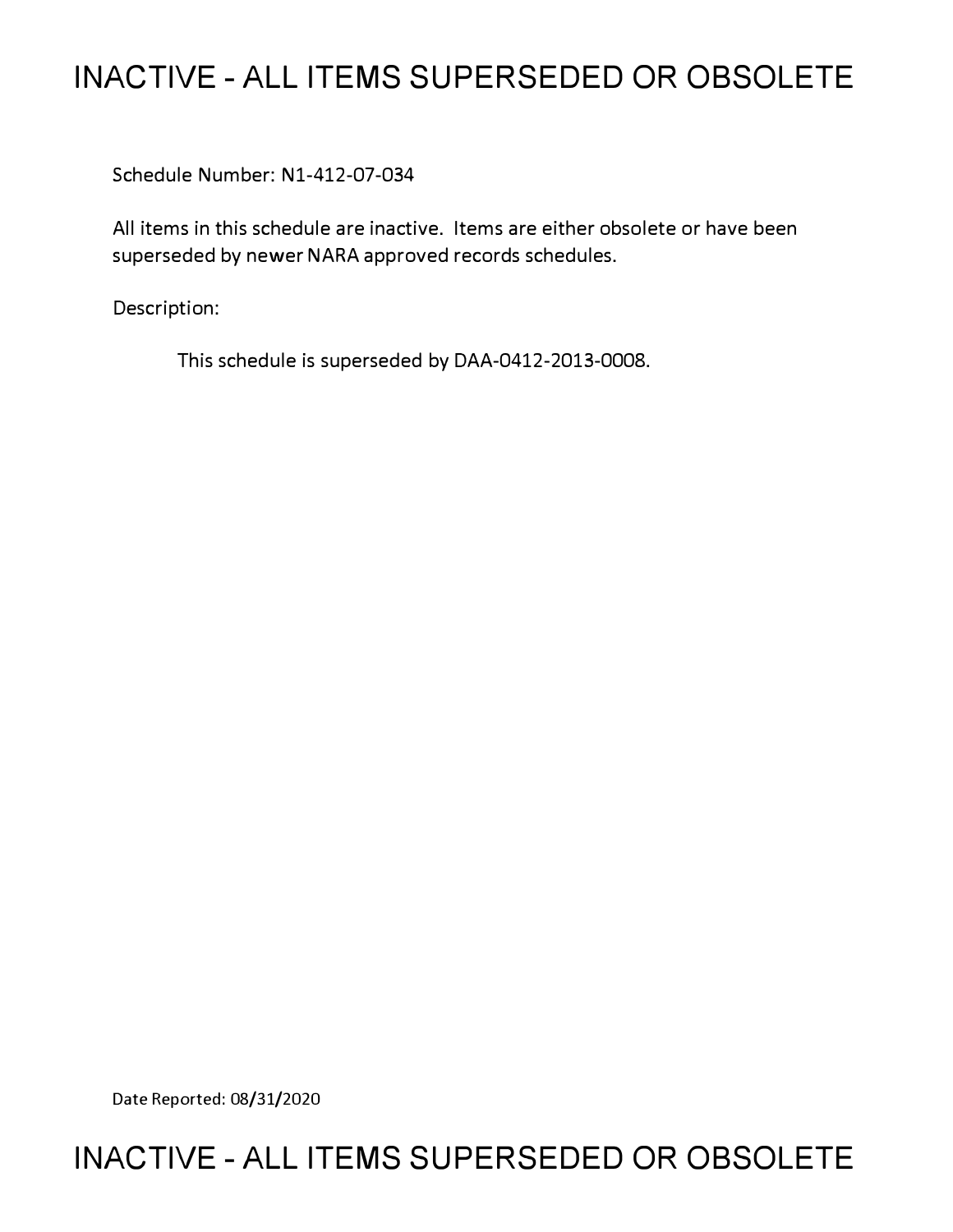# **INACTIVE - ALL ITEMS SUPERSEDED OR OBSOLETE**

Schedule Number: Nl-412-07-034

All items in this schedule are inactive. Items are either obsolete or have been superseded by newer NARA approved records schedules.

Description:

This schedule is superseded by DAA-0412-2013-0008.

Date Reported: 08/31/2020

# **INACTIVE - ALL ITEMS SUPERSEDED OR OBSOLETE**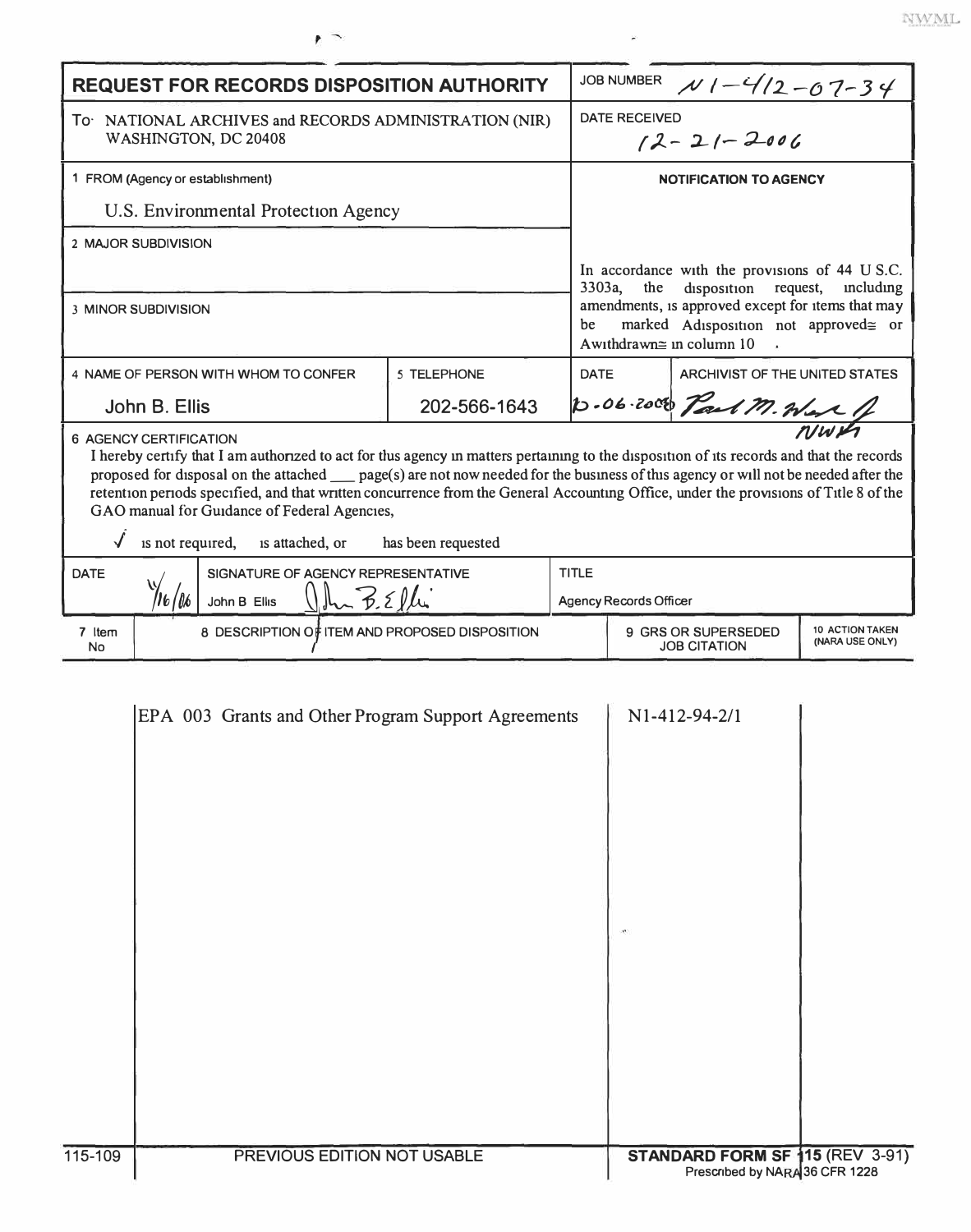| <b>REQUEST FOR RECORDS DISPOSITION AUTHORITY</b>                                                                                                                                                                                                                                                                                                                                                                                                                                                                                                                      |              |                 | JOB NUMBER $N1 - 4/2 - 07 - 34$                                                                                                                                                                                                                    |  |  |
|-----------------------------------------------------------------------------------------------------------------------------------------------------------------------------------------------------------------------------------------------------------------------------------------------------------------------------------------------------------------------------------------------------------------------------------------------------------------------------------------------------------------------------------------------------------------------|--------------|-----------------|----------------------------------------------------------------------------------------------------------------------------------------------------------------------------------------------------------------------------------------------------|--|--|
| To NATIONAL ARCHIVES and RECORDS ADMINISTRATION (NIR)<br>WASHINGTON, DC 20408                                                                                                                                                                                                                                                                                                                                                                                                                                                                                         |              |                 | DATE RECEIVED<br>$12 - 21 - 2006$                                                                                                                                                                                                                  |  |  |
| 1 FROM (Agency or establishment)                                                                                                                                                                                                                                                                                                                                                                                                                                                                                                                                      |              |                 | <b>NOTIFICATION TO AGENCY</b>                                                                                                                                                                                                                      |  |  |
| U.S. Environmental Protection Agency                                                                                                                                                                                                                                                                                                                                                                                                                                                                                                                                  |              |                 |                                                                                                                                                                                                                                                    |  |  |
| 2 MAJOR SUBDIVISION                                                                                                                                                                                                                                                                                                                                                                                                                                                                                                                                                   |              |                 |                                                                                                                                                                                                                                                    |  |  |
| <b>3 MINOR SUBDIVISION</b>                                                                                                                                                                                                                                                                                                                                                                                                                                                                                                                                            |              | $3303a$ ,<br>be | In accordance with the provisions of 44 U S.C.<br>disposition request,<br>the<br>including<br>amendments, is approved except for items that may<br>marked Adisposition not approved≅ or<br>Awithdrawn $\cong$ in column 10<br>$\ddot{\phantom{a}}$ |  |  |
| 4 NAME OF PERSON WITH WHOM TO CONFER                                                                                                                                                                                                                                                                                                                                                                                                                                                                                                                                  | 5 TELEPHONE  | <b>DATE</b>     | ARCHIVIST OF THE UNITED STATES                                                                                                                                                                                                                     |  |  |
| John B. Ellis                                                                                                                                                                                                                                                                                                                                                                                                                                                                                                                                                         | 202-566-1643 |                 | D.06.2000 Part M. Were                                                                                                                                                                                                                             |  |  |
| <b>6 AGENCY CERTIFICATION</b><br>I hereby certify that I am authorized to act for thus agency in matters pertaining to the disposition of its records and that the records<br>proposed for disposal on the attached ____ page(s) are not now needed for the business of this agency or will not be needed after the<br>retention periods specified, and that written concurrence from the General Accounting Office, under the provisions of Title 8 of the<br>GAO manual for Guidance of Federal Agencies,<br>is not required, is attached, or<br>has been requested |              |                 |                                                                                                                                                                                                                                                    |  |  |
| <b>DATE</b><br>SIGNATURE OF AGENCY REPRESENTATIVE<br>Uhr B.Elli<br>John B Ellis                                                                                                                                                                                                                                                                                                                                                                                                                                                                                       |              | <b>TITLE</b>    | Agency Records Officer                                                                                                                                                                                                                             |  |  |
| 7 Item<br>8 DESCRIPTION OF ITEM AND PROPOSED DISPOSITION<br>No                                                                                                                                                                                                                                                                                                                                                                                                                                                                                                        |              |                 | <b>10 ACTION TAKEN</b><br>9 GRS OR SUPERSEDED<br>(NARA USE ONLY)<br>JOB CITATION                                                                                                                                                                   |  |  |
| N1-412-94-2/1<br>EPA 003 Grants and Other Program Support Agreements                                                                                                                                                                                                                                                                                                                                                                                                                                                                                                  |              |                 |                                                                                                                                                                                                                                                    |  |  |

 $\tilde{\mathbf{z}}$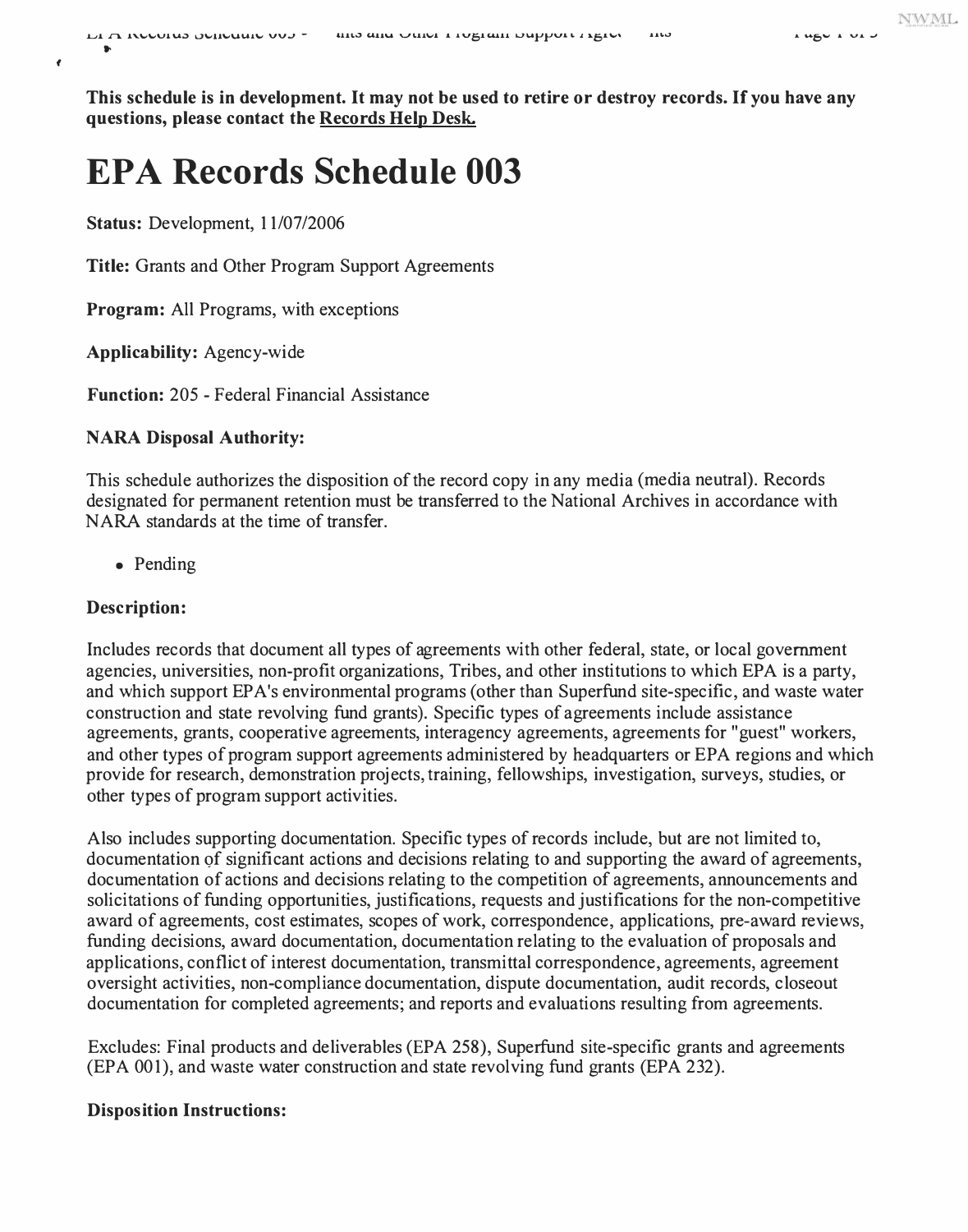**f** 

**This schedule is in development. It may not be used to retire or destroy records. If you have any questions, please contact the Records Help Desk.** 

# **EPA Records Schedule 003**

**Status:** Development, 11/07/2006

**Title:** Grants and Other Program Support Agreements

**Program:** All Programs, with exceptions

**Applicability:** Agency-wide

**Function:** 205 - Federal Financial Assistance

### **NARA Disposal Authority:**

This schedule authorizes the disposition of the record copy in any media (media neutral). Records designated for permanent retention must be transferred to the National Archives in accordance with NARA standards at the time of transfer.

• Pending

# **Description:**

Includes records that document all types of agreements with other federal, state, or local government agencies, universities, non-profit organizations, Tribes, and other institutions to which EPA is a party, and which support EP A's environmental programs ( other than Superfund site-specific, and waste water construction and state revolving fund grants). Specific types of agreements include assistance agreements, grants, cooperative agreements, interagency agreements, agreements for "guest" workers, and other types of program support agreements administered by headquarters or EPA regions and which provide for research, demonstration projects, training, fellowships, investigation, surveys, studies, or other types of program support activities.

Also includes supporting documentation. Specific types of records include, but are not limited to, documentation of significant actions and decisions relating to and supporting the award of agreements, documentation of actions and decisions relating to the competition of agreements, announcements and solicitations of funding opportunities, justifications, requests and justifications for the non-competitive award of agreements, cost estimates, scopes of work, correspondence, applications, pre-award reviews, funding decisions, award documentation, documentation relating to the evaluation of proposals and applications, conflict of interest documentation, transmittal correspondence, agreements, agreement oversight activities, non-compliance documentation, dispute documentation, audit records, closeout documentation for completed agreements; and reports and evaluations resulting from agreements.

Excludes: Final products and deliverables (EPA 258), Superfund site-specific grants and agreements (EPA 001), and waste water construction and state revolving fund grants (EPA 232).

#### **Disposition Instructions:**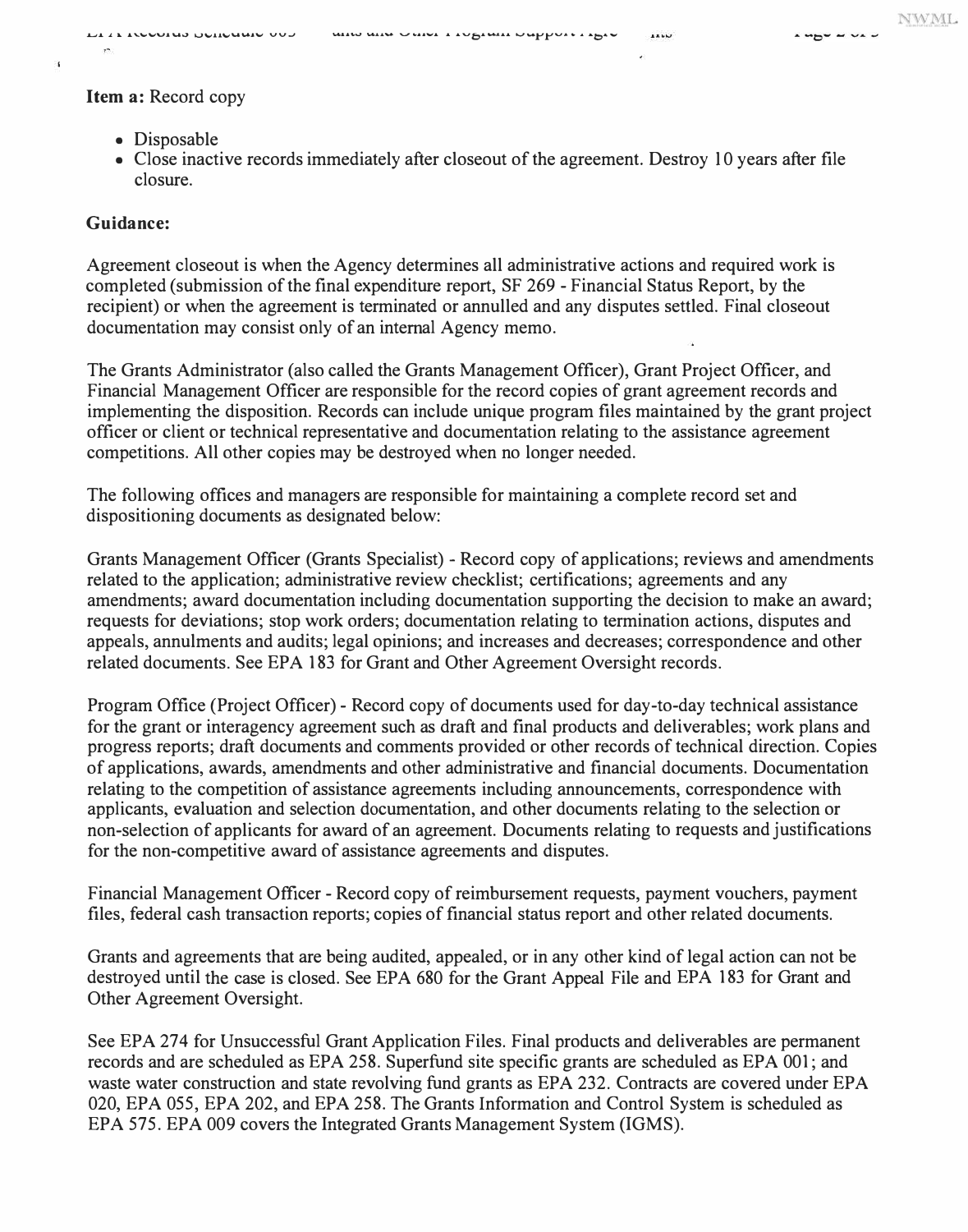# **Item a:** Record copy

- Disposable
- Close inactive records immediately after closeout of the agreement. Destroy 10 years after file closure.

# **Guidance:**

÷.

Agreement closeout is when the Agency determines all administrative actions and required work is completed (submission of the final expenditure report, SF 269 - Financial Status Report, by the recipient) or when the agreement is terminated or annulled and any disputes settled. Final closeout documentation may consist only of an internal Agency memo.

The Grants Administrator (also called the Grants Management Officer), Grant Project Officer, and Financial Management Officer are responsible for the record copies of grant agreement records and implementing the disposition. Records can include unique program files maintained by the grant project officer or client or technical representative and documentation relating to the assistance agreement competitions. All other copies may be destroyed when no longer needed.

The following offices and managers are responsible for maintaining a complete record set and dispositioning documents as designated below:

Grants Management Officer (Grants Specialist) - Record copy of applications; reviews and amendments related to the application; administrative review checklist; certifications; agreements and any amendments; award documentation including documentation supporting the decision to make an award; requests for deviations; stop work orders; documentation relating to termination actions, disputes and appeals, annulments and audits; legal opinions; and increases and decreases; correspondence and other related documents. See EPA 183 for Grant and Other Agreement Oversight records.

Program Office (Project Officer) - Record copy of documents used for day-to-day technical assistance for the grant or interagency agreement such as draft and final products and deliverables; work plans and progress reports; draft documents and comments provided or other records of technical direction. Copies of applications, awards, amendments and other administrative and financial documents. Documentation relating to the competition of assistance agreements including announcements, correspondence with applicants, evaluation and selection documentation, and other documents relating to the selection or non-selection of applicants for award of an agreement. Documents relating to requests and justifications for the non-competitive award of assistance agreements and disputes.

Financial Management Officer - Record copy of reimbursement requests, payment vouchers, payment files, federal cash transaction reports; copies of financial status report and other related documents.

Grants and agreements that are being audited, appealed, or in any other kind of legal action can not be destroyed until the case is closed. See EPA 680 for the Grant Appeal File and EPA 183 for Grant and Other Agreement Oversight.

See EPA 274 for Unsuccessful Grant Application Files. Final products and deliverables are permanent records and are scheduled as EPA 258. Superfund site specific grants are scheduled as EPA 001; and waste water construction and state revolving fund grants as EPA 232. Contracts are covered under EPA 020, EPA 055, EPA 202, and EPA 258. The Grants Information and Control System is scheduled as EPA 575. EPA 009 covers the Integrated Grants Management System (IGMS).